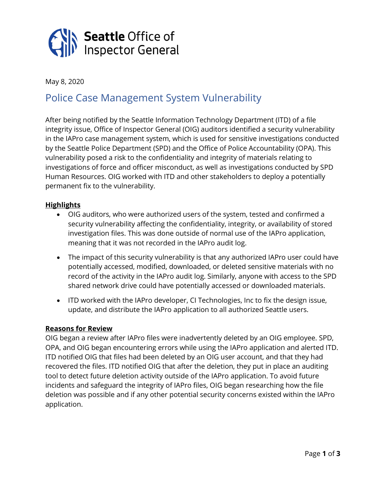

May 8, 2020

# Police Case Management System Vulnerability

After being notified by the Seattle Information Technology Department (ITD) of a file integrity issue, Office of Inspector General (OIG) auditors identified a security vulnerability in the IAPro case management system, which is used for sensitive investigations conducted by the Seattle Police Department (SPD) and the Office of Police Accountability (OPA). This vulnerability posed a risk to the confidentiality and integrity of materials relating to investigations of force and officer misconduct, as well as investigations conducted by SPD Human Resources. OIG worked with ITD and other stakeholders to deploy a potentially permanent fix to the vulnerability.

## **Highlights**

- OIG auditors, who were authorized users of the system, tested and confirmed a security vulnerability affecting the confidentiality, integrity, or availability of stored investigation files. This was done outside of normal use of the IAPro application, meaning that it was not recorded in the IAPro audit log.
- The impact of this security vulnerability is that any authorized IAPro user could have potentially accessed, modified, downloaded, or deleted sensitive materials with no record of the activity in the IAPro audit log. Similarly, anyone with access to the SPD shared network drive could have potentially accessed or downloaded materials.
- ITD worked with the IAPro developer, CI Technologies, Inc to fix the design issue, update, and distribute the IAPro application to all authorized Seattle users.

## **Reasons for Review**

OIG began a review after IAPro files were inadvertently deleted by an OIG employee. SPD, OPA, and OIG began encountering errors while using the IAPro application and alerted ITD. ITD notified OIG that files had been deleted by an OIG user account, and that they had recovered the files. ITD notified OIG that after the deletion, they put in place an auditing tool to detect future deletion activity outside of the IAPro application. To avoid future incidents and safeguard the integrity of IAPro files, OIG began researching how the file deletion was possible and if any other potential security concerns existed within the IAPro application.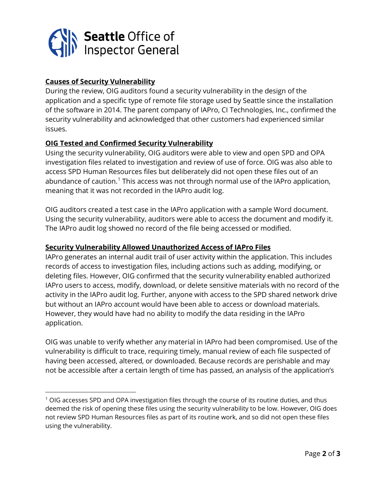

## **Causes of Security Vulnerability**

During the review, OIG auditors found a security vulnerability in the design of the application and a specific type of remote file storage used by Seattle since the installation of the software in 2014. The parent company of IAPro, CI Technologies, Inc., confirmed the security vulnerability and acknowledged that other customers had experienced similar issues.

## **OIG Tested and Confirmed Security Vulnerability**

Using the security vulnerability, OIG auditors were able to view and open SPD and OPA investigation files related to investigation and review of use of force. OIG was also able to access SPD Human Resources files but deliberately did not open these files out of an abundance of caution. [1](#page-1-0) This access was not through normal use of the IAPro application, meaning that it was not recorded in the IAPro audit log.

OIG auditors created a test case in the IAPro application with a sample Word document. Using the security vulnerability, auditors were able to access the document and modify it. The IAPro audit log showed no record of the file being accessed or modified.

## **Security Vulnerability Allowed Unauthorized Access of IAPro Files**

IAPro generates an internal audit trail of user activity within the application. This includes records of access to investigation files, including actions such as adding, modifying, or deleting files. However, OIG confirmed that the security vulnerability enabled authorized IAPro users to access, modify, download, or delete sensitive materials with no record of the activity in the IAPro audit log. Further, anyone with access to the SPD shared network drive but without an IAPro account would have been able to access or download materials. However, they would have had no ability to modify the data residing in the IAPro application.

OIG was unable to verify whether any material in IAPro had been compromised. Use of the vulnerability is difficult to trace, requiring timely, manual review of each file suspected of having been accessed, altered, or downloaded. Because records are perishable and may not be accessible after a certain length of time has passed, an analysis of the application's

<span id="page-1-0"></span> $1$  OIG accesses SPD and OPA investigation files through the course of its routine duties, and thus deemed the risk of opening these files using the security vulnerability to be low. However, OIG does not review SPD Human Resources files as part of its routine work, and so did not open these files using the vulnerability.